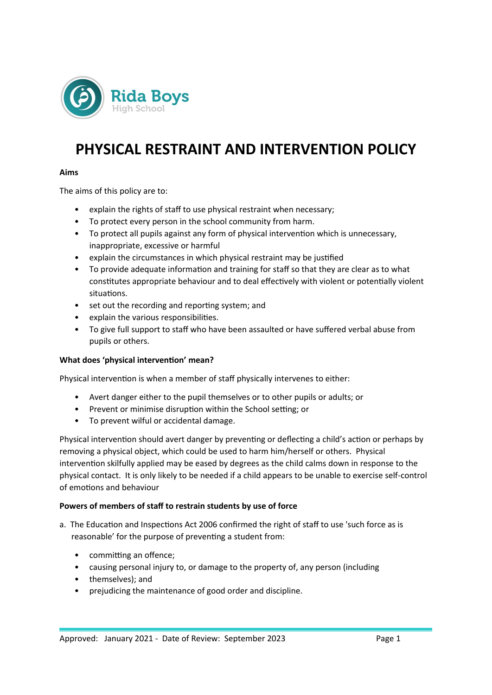

# **PHYSICAL RESTRAINT AND INTERVENTION POLICY**

#### **Aims**

The aims of this policy are to:

- explain the rights of staff to use physical restraint when necessary;
- To protect every person in the school community from harm.
- To protect all pupils against any form of physical intervention which is unnecessary, inappropriate, excessive or harmful
- explain the circumstances in which physical restraint may be justified
- To provide adequate information and training for staff so that they are clear as to what constitutes appropriate behaviour and to deal effectively with violent or potentially violent situations.
- set out the recording and reporting system; and
- explain the various responsibilities.
- To give full support to staff who have been assaulted or have suffered verbal abuse from pupils or others.

#### **What does 'physical intervention' mean?**

Physical intervention is when a member of staff physically intervenes to either:

- Avert danger either to the pupil themselves or to other pupils or adults; or
- Prevent or minimise disruption within the School setting; or
- To prevent wilful or accidental damage.

Physical intervention should avert danger by preventing or deflecting a child's action or perhaps by removing a physical object, which could be used to harm him/herself or others. Physical intervention skilfully applied may be eased by degrees as the child calms down in response to the physical contact. It is only likely to be needed if a child appears to be unable to exercise self-control of emotions and behaviour

#### **Powers of members of staff to restrain students by use of force**

- a. The Education and Inspections Act 2006 confirmed the right of staff to use 'such force as is reasonable' for the purpose of preventing a student from:
	- committing an offence;
	- causing personal injury to, or damage to the property of, any person (including
	- themselves); and
	- prejudicing the maintenance of good order and discipline.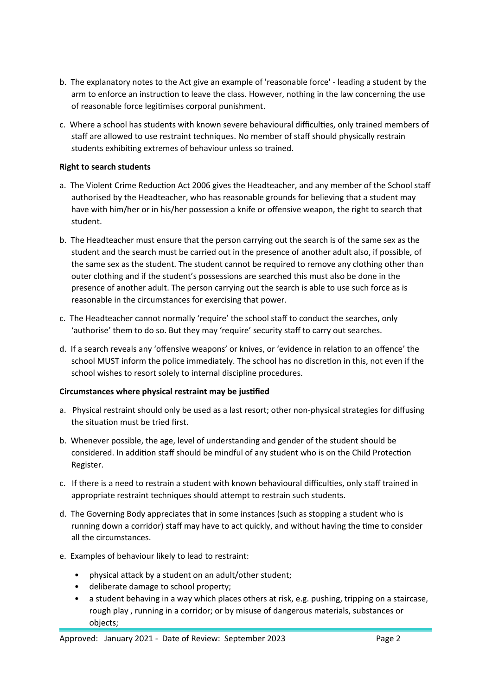- b. The explanatory notes to the Act give an example of 'reasonable force' leading a student by the arm to enforce an instruction to leave the class. However, nothing in the law concerning the use of reasonable force legitimises corporal punishment.
- c. Where a school has students with known severe behavioural difficulties, only trained members of staff are allowed to use restraint techniques. No member of staff should physically restrain students exhibiting extremes of behaviour unless so trained.

## **Right to search students**

- a. The Violent Crime Reduction Act 2006 gives the Headteacher, and any member of the School staff authorised by the Headteacher, who has reasonable grounds for believing that a student may have with him/her or in his/her possession a knife or offensive weapon, the right to search that student.
- b. The Headteacher must ensure that the person carrying out the search is of the same sex as the student and the search must be carried out in the presence of another adult also, if possible, of the same sex as the student. The student cannot be required to remove any clothing other than outer clothing and if the student's possessions are searched this must also be done in the presence of another adult. The person carrying out the search is able to use such force as is reasonable in the circumstances for exercising that power.
- c. The Headteacher cannot normally 'require' the school staff to conduct the searches, only 'authorise' them to do so. But they may 'require' security staff to carry out searches.
- d. If a search reveals any 'offensive weapons' or knives, or 'evidence in relation to an offence' the school MUST inform the police immediately. The school has no discretion in this, not even if the school wishes to resort solely to internal discipline procedures.

# **Circumstances where physical restraint may be justified**

- a. Physical restraint should only be used as a last resort; other non-physical strategies for diffusing the situation must be tried first.
- b. Whenever possible, the age, level of understanding and gender of the student should be considered. In addition staff should be mindful of any student who is on the Child Protection Register.
- c. If there is a need to restrain a student with known behavioural difficulties, only staff trained in appropriate restraint techniques should attempt to restrain such students.
- d. The Governing Body appreciates that in some instances (such as stopping a student who is running down a corridor) staff may have to act quickly, and without having the time to consider all the circumstances.
- e. Examples of behaviour likely to lead to restraint:
	- physical attack by a student on an adult/other student;
	- deliberate damage to school property;
	- a student behaving in a way which places others at risk, e.g. pushing, tripping on a staircase, rough play , running in a corridor; or by misuse of dangerous materials, substances or objects;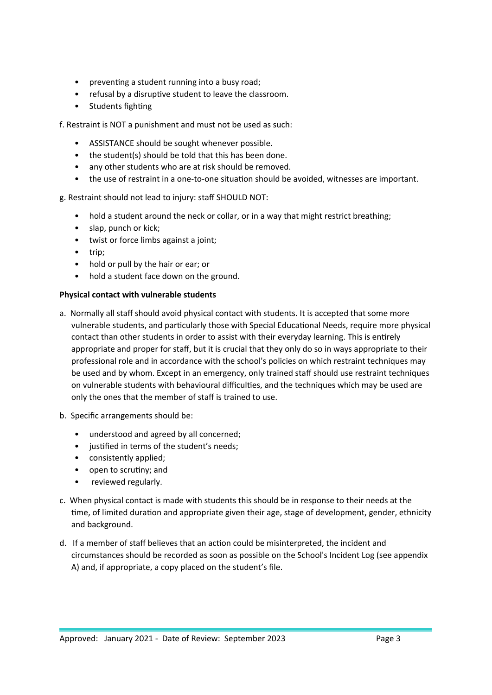- preventing a student running into a busy road;
- refusal by a disruptive student to leave the classroom.
- Students fighting

f. Restraint is NOT a punishment and must not be used as such:

- ASSISTANCE should be sought whenever possible.
- the student(s) should be told that this has been done.
- any other students who are at risk should be removed.
- the use of restraint in a one-to-one situation should be avoided, witnesses are important.

# g. Restraint should not lead to injury: staff SHOULD NOT:

- hold a student around the neck or collar, or in a way that might restrict breathing;
- slap, punch or kick;
- twist or force limbs against a joint;
- trip;
- hold or pull by the hair or ear; or
- hold a student face down on the ground.

# **Physical contact with vulnerable students**

- a. Normally all staff should avoid physical contact with students. It is accepted that some more vulnerable students, and particularly those with Special Educational Needs, require more physical contact than other students in order to assist with their everyday learning. This is entirely appropriate and proper for staff, but it is crucial that they only do so in ways appropriate to their professional role and in accordance with the school's policies on which restraint techniques may be used and by whom. Except in an emergency, only trained staff should use restraint techniques on vulnerable students with behavioural difficulties, and the techniques which may be used are only the ones that the member of staff is trained to use.
- b. Specific arrangements should be:
	- understood and agreed by all concerned;
	- justified in terms of the student's needs;
	- consistently applied;
	- open to scrutiny; and
	- reviewed regularly.
- c. When physical contact is made with students this should be in response to their needs at the time, of limited duration and appropriate given their age, stage of development, gender, ethnicity and background.
- d. If a member of staff believes that an action could be misinterpreted, the incident and circumstances should be recorded as soon as possible on the School's Incident Log (see appendix A) and, if appropriate, a copy placed on the student's file.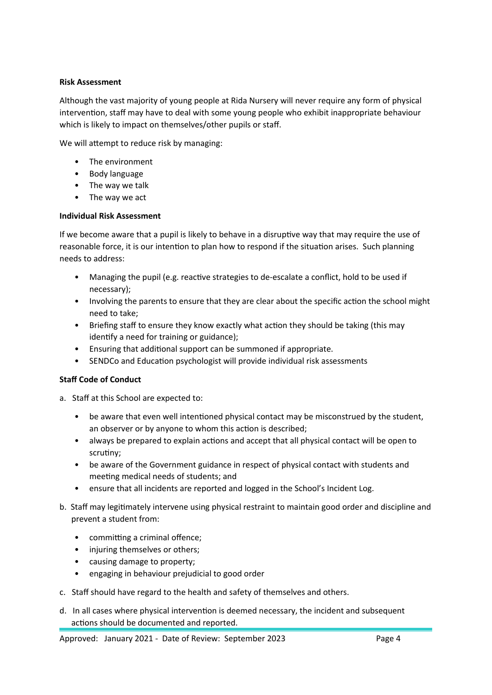## **Risk Assessment**

Although the vast majority of young people at Rida Nursery will never require any form of physical intervention, staff may have to deal with some young people who exhibit inappropriate behaviour which is likely to impact on themselves/other pupils or staff.

We will attempt to reduce risk by managing:

- The environment
- Body language
- The way we talk
- The way we act

#### **Individual Risk Assessment**

If we become aware that a pupil is likely to behave in a disruptive way that may require the use of reasonable force, it is our intention to plan how to respond if the situation arises. Such planning needs to address:

- Managing the pupil (e.g. reactive strategies to de-escalate a conflict, hold to be used if necessary);
- Involving the parents to ensure that they are clear about the specific action the school might need to take;
- Briefing staff to ensure they know exactly what action they should be taking (this may identify a need for training or guidance);
- Ensuring that additional support can be summoned if appropriate.
- SENDCo and Education psychologist will provide individual risk assessments

#### **Staff Code of Conduct**

- a. Staff at this School are expected to:
	- be aware that even well intentioned physical contact may be misconstrued by the student, an observer or by anyone to whom this action is described;
	- always be prepared to explain actions and accept that all physical contact will be open to scrutiny;
	- be aware of the Government guidance in respect of physical contact with students and meeting medical needs of students; and
	- ensure that all incidents are reported and logged in the School's Incident Log.
- b. Staff may legitimately intervene using physical restraint to maintain good order and discipline and prevent a student from:
	- committing a criminal offence;
	- injuring themselves or others;
	- causing damage to property;
	- engaging in behaviour prejudicial to good order
- c. Staff should have regard to the health and safety of themselves and others.
- d. In all cases where physical intervention is deemed necessary, the incident and subsequent actions should be documented and reported.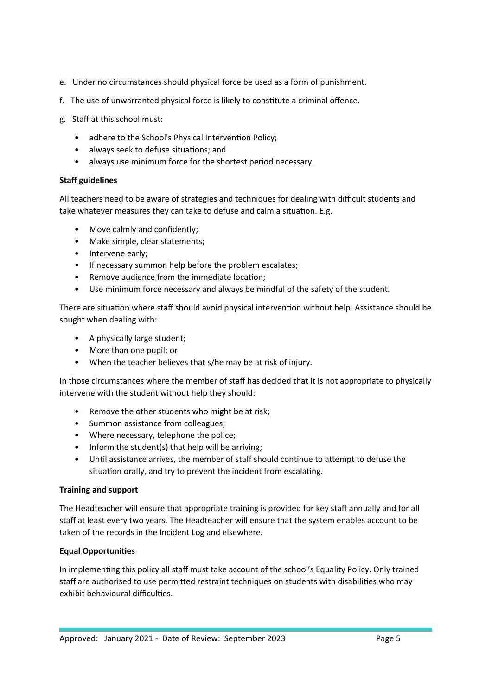- e. Under no circumstances should physical force be used as a form of punishment.
- f. The use of unwarranted physical force is likely to constitute a criminal offence.
- g. Staff at this school must:
	- adhere to the School's Physical Intervention Policy;
	- always seek to defuse situations; and
	- always use minimum force for the shortest period necessary.

# **Staff guidelines**

All teachers need to be aware of strategies and techniques for dealing with difficult students and take whatever measures they can take to defuse and calm a situation. E.g.

- Move calmly and confidently;
- Make simple, clear statements;
- Intervene early;
- If necessary summon help before the problem escalates;
- Remove audience from the immediate location;
- Use minimum force necessary and always be mindful of the safety of the student.

There are situation where staff should avoid physical intervention without help. Assistance should be sought when dealing with:

- A physically large student;
- More than one pupil; or
- When the teacher believes that s/he may be at risk of injury.

In those circumstances where the member of staff has decided that it is not appropriate to physically intervene with the student without help they should:

- Remove the other students who might be at risk;
- Summon assistance from colleagues;
- Where necessary, telephone the police;
- Inform the student(s) that help will be arriving;
- Until assistance arrives, the member of staff should continue to attempt to defuse the situation orally, and try to prevent the incident from escalating.

# **Training and support**

The Headteacher will ensure that appropriate training is provided for key staff annually and for all staff at least every two years. The Headteacher will ensure that the system enables account to be taken of the records in the Incident Log and elsewhere.

# **Equal Opportunities**

In implementing this policy all staff must take account of the school's Equality Policy. Only trained staff are authorised to use permitted restraint techniques on students with disabilities who may exhibit behavioural difficulties.